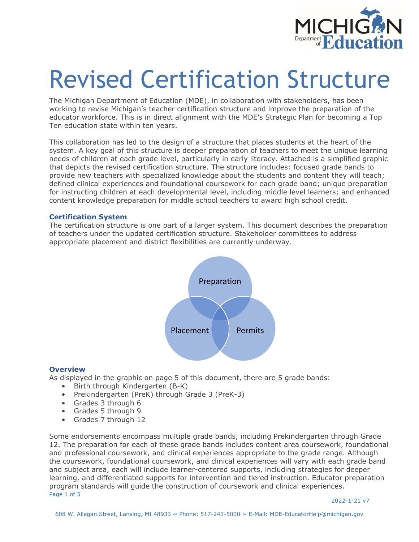

# Revised Certification Structure

The Michigan Department of Education (MDE), in collaboration with stakeholders, has been working to revise Michigan's teacher certification structure and improve the preparation of the educator workforce. This is in direct alignment with the MDE's Strategic Plan for becoming a Top Ten education state within ten years.

This collaboration has led to the design of a structure that places students at the heart of the system. A key goal of this structure is deeper preparation of teachers to meet the unique learning needs of children at each grade level, particularly in early literacy. Attached is a simplified graphic that depicts the revised certification structure. The structure includes: focused grade bands to provide new teachers with specialized knowledge about the students and content they will teach; defined clinical experiences and foundational coursework for each grade band; unique preparation for instructing children at each developmental level, including middle level learners; and enhanced content knowledge preparation for middle school teachers to award high school credit.

#### **Certification System**

The certification structure is one part of a larger system. This document describes the preparation of teachers under the updated certification structure. Stakeholder committees to address appropriate placement and district flexibilities are currently underway.



#### **Overview**

As displayed in the graphic on page 5 of this document, there are 5 grade bands:

- Birth through Kindergarten (B-K)
- Prekindergarten (PreK) through Grade 3 (PreK-3)
- Grades 3 through 6
- Grades 5 through 9
- Grades 7 through 12

Page 1 of 5 Some endorsements encompass multiple grade bands, including Prekindergarten through Grade 12. The preparation for each of these grade bands includes content area coursework, foundational and professional coursework, and clinical experiences appropriate to the grade range. Although the coursework, foundational coursework, and clinical experiences will vary with each grade band and subject area, each will include learner-centered supports, including strategies for deeper learning, and differentiated supports for intervention and tiered instruction. Educator preparation program standards will guide the construction of coursework and clinical experiences.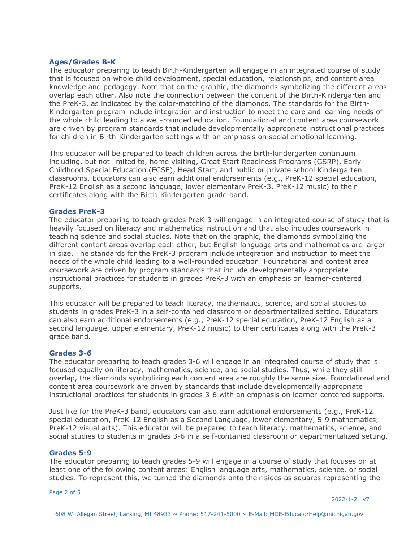#### **Ages/Grades B-K**

The educator preparing to teach Birth-Kindergarten will engage in an integrated course of study that is focused on whole child development, special education, relationships, and content area knowledge and pedagogy. Note that on the graphic, the diamonds symbolizing the different areas overlap each other. Also note the connection between the content of the Birth-Kindergarten and the PreK-3, as indicated by the color-matching of the diamonds. The standards for the Birth-Kindergarten program include integration and instruction to meet the care and learning needs of the whole child leading to a well-rounded education. Foundational and content area coursework are driven by program standards that include developmentally appropriate instructional practices for children in Birth-Kindergarten settings with an emphasis on social emotional learning.

This educator will be prepared to teach children across the birth-kindergarten continuum including, but not limited to, home visiting, Great Start Readiness Programs (GSRP), Early Childhood Special Education (ECSE), Head Start, and public or private school Kindergarten classrooms. Educators can also earn additional endorsements (e.g., PreK-12 special education, PreK-12 English as a second language, lower elementary PreK-3, PreK-12 music) to their certificates along with the Birth-Kindergarten grade band.

#### **Grades PreK-3**

The educator preparing to teach grades PreK-3 will engage in an integrated course of study that is heavily focused on literacy and mathematics instruction and that also includes coursework in teaching science and social studies. Note that on the graphic, the diamonds symbolizing the different content areas overlap each other, but English language arts and mathematics are larger in size. The standards for the PreK-3 program include integration and instruction to meet the needs of the whole child leading to a well-rounded education. Foundational and content area coursework are driven by program standards that include developmentally appropriate instructional practices for students in grades PreK-3 with an emphasis on learner-centered supports.

This educator will be prepared to teach literacy, mathematics, science, and social studies to students in grades PreK-3 in a self-contained classroom or departmentalized setting. Educators can also earn additional endorsements (e.g., PreK-12 special education, PreK-12 English as a second language, upper elementary, PreK-12 music) to their certificates along with the PreK-3 grade band.

#### **Grades 3-6**

The educator preparing to teach grades 3-6 will engage in an integrated course of study that is focused equally on literacy, mathematics, science, and social studies. Thus, while they still overlap, the diamonds symbolizing each content area are roughly the same size. Foundational and content area coursework are driven by standards that include developmentally appropriate instructional practices for students in grades 3-6 with an emphasis on learner-centered supports.

Just like for the PreK-3 band, educators can also earn additional endorsements (e.g., PreK-12 special education, PreK-12 English as a Second Language, lower elementary, 5-9 mathematics, PreK-12 visual arts). This educator will be prepared to teach literacy, mathematics, science, and social studies to students in grades 3-6 in a self-contained classroom or departmentalized setting.

#### **Grades 5-9**

The educator preparing to teach grades 5-9 will engage in a course of study that focuses on at least one of the following content areas: English language arts, mathematics, science, or social studies. To represent this, we turned the diamonds onto their sides as squares representing the

Page 2 of 5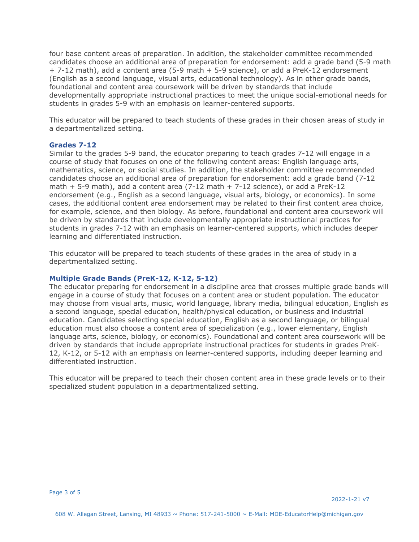four base content areas of preparation. In addition, the stakeholder committee recommended candidates choose an additional area of preparation for endorsement: add a grade band (5-9 math + 7-12 math), add a content area (5-9 math + 5-9 science), or add a PreK-12 endorsement (English as a second language, visual arts, educational technology). As in other grade bands, foundational and content area coursework will be driven by standards that include developmentally appropriate instructional practices to meet the unique social-emotional needs for students in grades 5-9 with an emphasis on learner-centered supports.

This educator will be prepared to teach students of these grades in their chosen areas of study in a departmentalized setting.

#### **Grades 7-12**

Similar to the grades 5-9 band, the educator preparing to teach grades 7-12 will engage in a course of study that focuses on one of the following content areas: English language arts, mathematics, science, or social studies. In addition, the stakeholder committee recommended candidates choose an additional area of preparation for endorsement: add a grade band (7-12 math  $+$  5-9 math), add a content area (7-12 math  $+$  7-12 science), or add a PreK-12 endorsement (e.g., English as a second language, visual arts, biology, or economics). In some cases, the additional content area endorsement may be related to their first content area choice, for example, science, and then biology. As before, foundational and content area coursework will be driven by standards that include developmentally appropriate instructional practices for students in grades 7-12 with an emphasis on learner-centered supports, which includes deeper learning and differentiated instruction.

This educator will be prepared to teach students of these grades in the area of study in a departmentalized setting.

#### **Multiple Grade Bands (PreK-12, K-12, 5-12)**

The educator preparing for endorsement in a discipline area that crosses multiple grade bands will engage in a course of study that focuses on a content area or student population. The educator may choose from visual arts, music, world language, library media, bilingual education, English as a second language, special education, health/physical education, or business and industrial education. Candidates selecting special education, English as a second language, or bilingual education must also choose a content area of specialization (e.g., lower elementary, English language arts, science, biology, or economics). Foundational and content area coursework will be driven by standards that include appropriate instructional practices for students in grades PreK-12, K-12, or 5-12 with an emphasis on learner-centered supports, including deeper learning and differentiated instruction.

This educator will be prepared to teach their chosen content area in these grade levels or to their specialized student population in a departmentalized setting.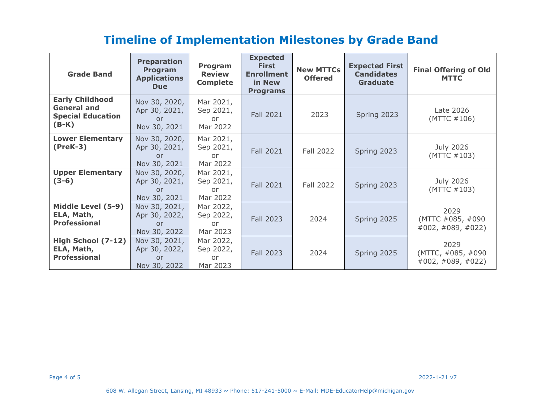## **Timeline of Implementation Milestones by Grade Band**

| <b>Grade Band</b>                                                                   | <b>Preparation</b><br>Program<br><b>Applications</b><br><b>Due</b> | Program<br><b>Review</b><br><b>Complete</b> | <b>Expected</b><br><b>First</b><br><b>Enrollment</b><br>in New<br><b>Programs</b> | <b>New MTTCs</b><br><b>Offered</b> | <b>Expected First</b><br><b>Candidates</b><br><b>Graduate</b> | <b>Final Offering of Old</b><br><b>MTTC</b>         |
|-------------------------------------------------------------------------------------|--------------------------------------------------------------------|---------------------------------------------|-----------------------------------------------------------------------------------|------------------------------------|---------------------------------------------------------------|-----------------------------------------------------|
| <b>Early Childhood</b><br><b>General and</b><br><b>Special Education</b><br>$(B-K)$ | Nov 30, 2020,<br>Apr 30, 2021,<br>or<br>Nov 30, 2021               | Mar 2021,<br>Sep 2021,<br>or<br>Mar 2022    | <b>Fall 2021</b>                                                                  | 2023                               | Spring 2023                                                   | Late 2026<br>(MTTC #106)                            |
| <b>Lower Elementary</b><br>$(PreK-3)$                                               | Nov 30, 2020,<br>Apr 30, 2021,<br>or<br>Nov 30, 2021               | Mar 2021,<br>Sep 2021,<br>or<br>Mar 2022    | <b>Fall 2021</b>                                                                  | <b>Fall 2022</b>                   | Spring 2023                                                   | July 2026<br>(MTTC #103)                            |
| <b>Upper Elementary</b><br>$(3-6)$                                                  | Nov 30, 2020,<br>Apr 30, 2021,<br>or<br>Nov 30, 2021               | Mar 2021,<br>Sep 2021,<br>or<br>Mar 2022    | <b>Fall 2021</b>                                                                  | Fall 2022                          | Spring 2023                                                   | July 2026<br>(MTTC #103)                            |
| Middle Level (5-9)<br>ELA, Math,<br><b>Professional</b>                             | Nov 30, 2021,<br>Apr 30, 2022,<br>or<br>Nov 30, 2022               | Mar 2022,<br>Sep 2022,<br>or.<br>Mar 2023   | <b>Fall 2023</b>                                                                  | 2024                               | Spring 2025                                                   | 2029<br>(MTTC #085, #090)<br>#002, #089, #022)      |
| High School (7-12)<br>ELA, Math,<br><b>Professional</b>                             | Nov 30, 2021,<br>Apr 30, 2022,<br>or<br>Nov 30, 2022               | Mar 2022,<br>Sep 2022,<br>0r<br>Mar 2023    | <b>Fall 2023</b>                                                                  | 2024                               | Spring 2025                                                   | 2029<br>(MTTC, #085, #090<br>$\#002, \#089, \#022)$ |